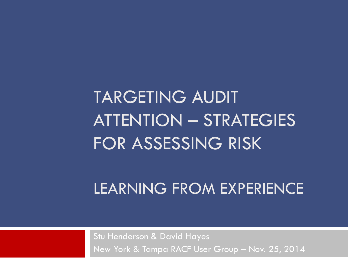# TARGETING AUDIT ATTENTION – STRATEGIES FOR ASSESSING RISK

#### LEARNING FROM EXPERIENCE

Stu Henderson & David Hayes New York & Tampa RACF User Group – Nov. 25, 2014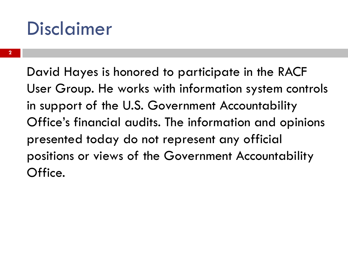#### Disclaimer

David Hayes is honored to participate in the RACF User Group. He works with information system controls in support of the U.S. Government Accountability Office's financial audits. The information and opinions presented today do not represent any official positions or views of the Government Accountability Office.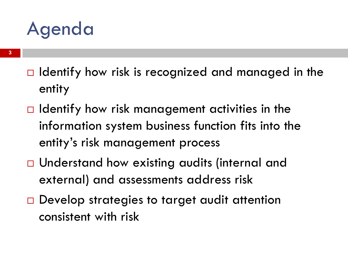### Agenda

- $\Box$  Identify how risk is recognized and managed in the entity
- $\Box$  Identify how risk management activities in the information system business function fits into the entity's risk management process
- □ Understand how existing audits (internal and external) and assessments address risk
- □ Develop strategies to target audit attention consistent with risk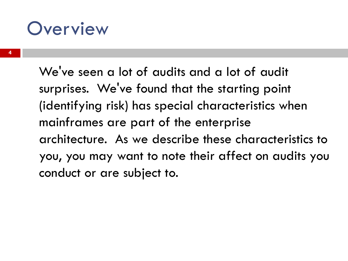#### **Overview**

We've seen a lot of audits and a lot of audit surprises. We've found that the starting point (identifying risk) has special characteristics when mainframes are part of the enterprise architecture. As we describe these characteristics to you, you may want to note their affect on audits you conduct or are subject to.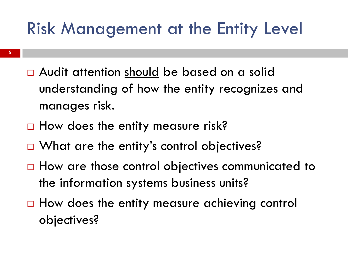#### Risk Management at the Entity Level

- **5**
- □ Audit attention should be based on a solid understanding of how the entity recognizes and manages risk.
- $\Box$  How does the entity measure risk?
- □ What are the entity's control objectives?
- $\Box$  How are those control objectives communicated to the information systems business units?
- $\Box$  How does the entity measure achieving control objectives?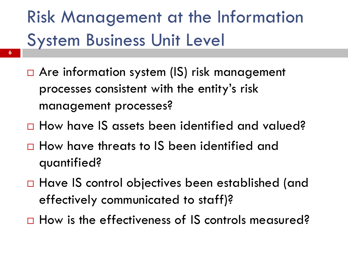### Risk Management at the Information System Business Unit Level

- □ Are information system (IS) risk management processes consistent with the entity's risk management processes?
- □ How have IS assets been identified and valued?
- $\Box$  How have threats to IS been identified and quantified?
- □ Have IS control objectives been established (and effectively communicated to staff)?
- $\Box$  How is the effectiveness of IS controls measured?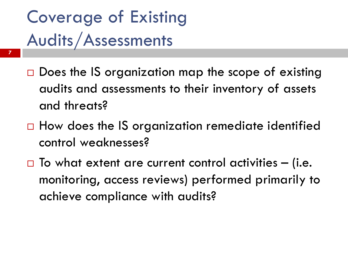### Coverage of Existing Audits/Assessments

- $\Box$  Does the IS organization map the scope of existing audits and assessments to their inventory of assets and threats?
- $\Box$  How does the IS organization remediate identified control weaknesses?
- $\Box$  To what extent are current control activities (i.e. monitoring, access reviews) performed primarily to achieve compliance with audits?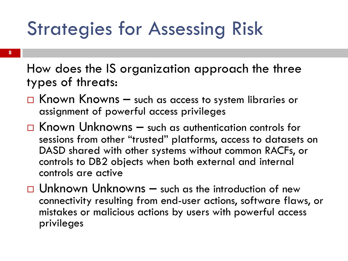# Strategies for Assessing Risk

How does the IS organization approach the three types of threats:

- $\Box$  Known Knowns such as access to system libraries or assignment of powerful access privileges
- $\Box$  Known Unknowns such as authentication controls for sessions from other "trusted" platforms, access to datasets on DASD shared with other systems without common RACFs, or controls to DB2 objects when both external and internal controls are active
- $\Box$  Unknown Unknowns such as the introduction of new connectivity resulting from end-user actions, software flaws, or mistakes or malicious actions by users with powerful access privileges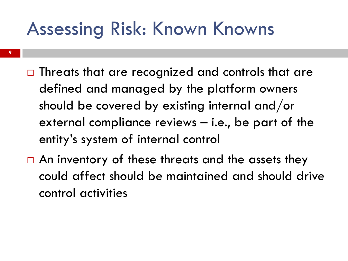### Assessing Risk: Known Knowns

- $\Box$  Threats that are recognized and controls that are defined and managed by the platform owners should be covered by existing internal and/or external compliance reviews  $-$  i.e., be part of the entity's system of internal control
- $\Box$  An inventory of these threats and the assets they could affect should be maintained and should drive control activities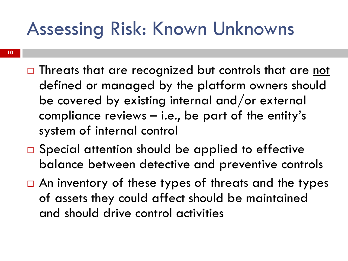### Assessing Risk: Known Unknowns

- □ Threats that are recognized but controls that are not defined or managed by the platform owners should be covered by existing internal and/or external compliance reviews  $-$  i.e., be part of the entity's system of internal control
- □ Special attention should be applied to effective balance between detective and preventive controls
- $\Box$  An inventory of these types of threats and the types of assets they could affect should be maintained and should drive control activities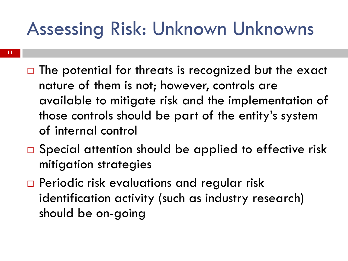# Assessing Risk: Unknown Unknowns

- **11**
- $\Box$  The potential for threats is recognized but the exact nature of them is not; however, controls are available to mitigate risk and the implementation of those controls should be part of the entity's system of internal control
- $\Box$  Special attention should be applied to effective risk mitigation strategies
- □ Periodic risk evaluations and regular risk identification activity (such as industry research) should be on-going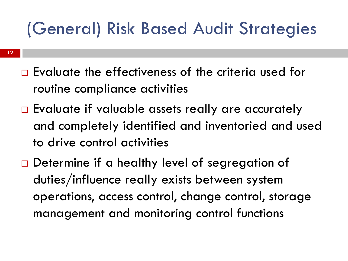#### (General) Risk Based Audit Strategies

- $\Box$  Evaluate the effectiveness of the criteria used for routine compliance activities
- $\Box$  Evaluate if valuable assets really are accurately and completely identified and inventoried and used to drive control activities
- □ Determine if a healthy level of segregation of duties/influence really exists between system operations, access control, change control, storage management and monitoring control functions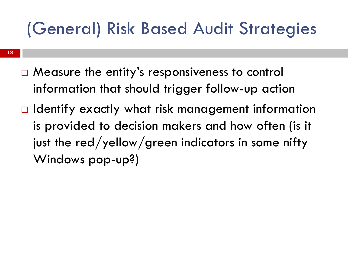#### (General) Risk Based Audit Strategies

- $\Box$  Measure the entity's responsiveness to control information that should trigger follow-up action
- $\Box$  Identify exactly what risk management information is provided to decision makers and how often (is it just the red/yellow/green indicators in some nifty Windows pop-up?)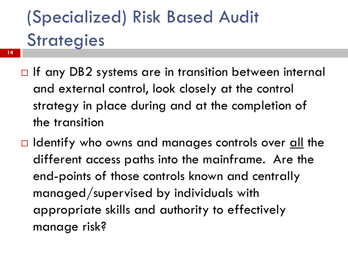# (Specialized) Risk Based Audit **Strategies**

**14**

- $\Box$  If any DB2 systems are in transition between internal and external control, look closely at the control strategy in place during and at the completion of the transition
- $\Box$  Identify who owns and manages controls over <u>all</u> the different access paths into the mainframe. Are the end-points of those controls known and centrally managed/supervised by individuals with appropriate skills and authority to effectively manage risk?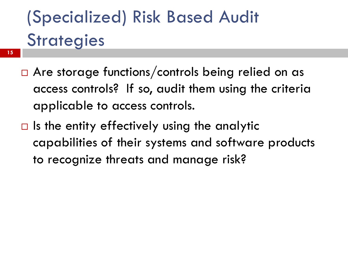# (Specialized) Risk Based Audit **Strategies**

**15**

- □ Are storage functions/controls being relied on as access controls? If so, audit them using the criteria applicable to access controls.
- $\Box$  Is the entity effectively using the analytic capabilities of their systems and software products to recognize threats and manage risk?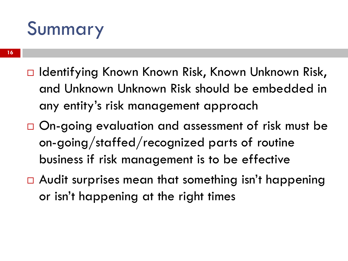### Summary

- **16**
- □ Identifying Known Known Risk, Known Unknown Risk, and Unknown Unknown Risk should be embedded in any entity's risk management approach
- □ On-going evaluation and assessment of risk must be on-going/staffed/recognized parts of routine business if risk management is to be effective
- □ Audit surprises mean that something isn't happening or isn't happening at the right times